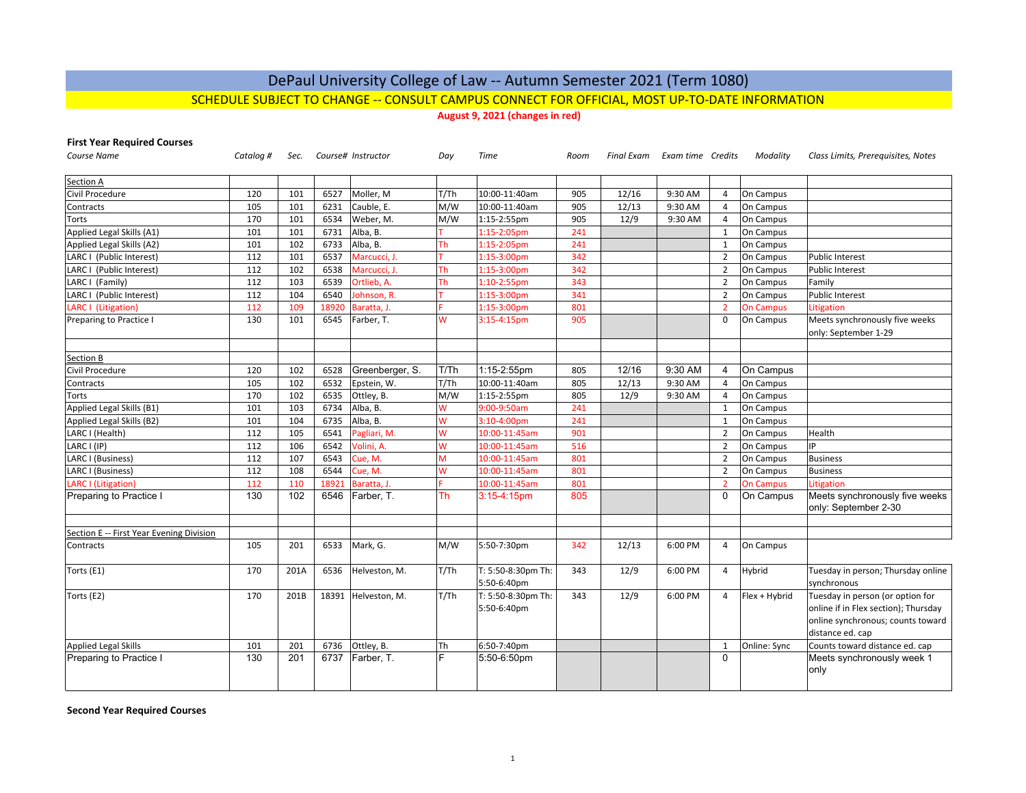# DePaul University College of Law ‐‐ Autumn Semester 2021 (Term 1080)

## SCHEDULE SUBJECT TO CHANGE ‐‐ CONSULT CAMPUS CONNECT FOR OFFICIAL, MOST UP‐TO‐DATE INFORMATION

**August 9, 2021 (changes in red)**

**First Year Required Courses**

| <b>Course Name</b>                       | Catalog # | Sec. |       | Course# Instructor  | Day       | <b>Time</b>                       | Room |       | Final Exam Exam time Credits |                | Modality         | Class Limits, Prerequisites, Notes                                                                                                |
|------------------------------------------|-----------|------|-------|---------------------|-----------|-----------------------------------|------|-------|------------------------------|----------------|------------------|-----------------------------------------------------------------------------------------------------------------------------------|
| Section A                                |           |      |       |                     |           |                                   |      |       |                              |                |                  |                                                                                                                                   |
| Civil Procedure                          | 120       | 101  | 6527  | Moller, M           | T/Th      | 10:00-11:40am                     | 905  | 12/16 | 9:30 AM                      | $\overline{4}$ | On Campus        |                                                                                                                                   |
| Contracts                                | 105       | 101  | 6231  | Cauble. E.          | M/W       | 10:00-11:40am                     | 905  | 12/13 | 9:30 AM                      | $\overline{4}$ | On Campus        |                                                                                                                                   |
| <b>Torts</b>                             | 170       | 101  | 6534  | Weber, M.           | M/W       | 1:15-2:55pm                       | 905  | 12/9  | 9:30 AM                      | $\overline{4}$ | On Campus        |                                                                                                                                   |
| Applied Legal Skills (A1)                | 101       | 101  | 6731  | Alba, B.            |           | 1:15-2:05pm                       | 241  |       |                              | $\mathbf{1}$   | On Campus        |                                                                                                                                   |
| Applied Legal Skills (A2)                | 101       | 102  | 6733  | Alba, B.            | Th        | 1:15-2:05pm                       | 241  |       |                              | $\mathbf{1}$   | On Campus        |                                                                                                                                   |
| LARC I (Public Interest)                 | 112       | 101  | 6537  | Marcucci, J.        |           | 1:15-3:00pm                       | 342  |       |                              | $\overline{2}$ | On Campus        | <b>Public Interest</b>                                                                                                            |
| LARC I (Public Interest)                 | 112       | 102  | 6538  | Marcucci, J.        | <b>Th</b> | 1:15-3:00pm                       | 342  |       |                              | $\overline{2}$ | On Campus        | <b>Public Interest</b>                                                                                                            |
| LARC I (Family)                          | 112       | 103  | 6539  | Ortlieb, A.         | Th        | 1:10-2:55pm                       | 343  |       |                              | $\overline{2}$ | On Campus        | Family                                                                                                                            |
| LARC I (Public Interest)                 | 112       | 104  | 6540  | Johnson, R.         |           | 1:15-3:00pm                       | 341  |       |                              | $\overline{2}$ | On Campus        | Public Interest                                                                                                                   |
| LARC I (Litigation)                      | 112       | 109  | 18920 | Baratta, J.         |           | 1:15-3:00pm                       | 801  |       |                              | $\mathcal{P}$  | <b>On Campus</b> | Litigation                                                                                                                        |
| Preparing to Practice I                  | 130       | 101  | 6545  | Farber, T.          | W         | $3:15-4:15$ pm                    | 905  |       |                              | $\Omega$       | On Campus        | Meets synchronously five weeks<br>only: September 1-29                                                                            |
|                                          |           |      |       |                     |           |                                   |      |       |                              |                |                  |                                                                                                                                   |
| Section B                                |           |      |       |                     |           |                                   |      |       |                              |                |                  |                                                                                                                                   |
| Civil Procedure                          | 120       | 102  | 6528  | Greenberger, S.     | T/Th      | 1:15-2:55pm                       | 805  | 12/16 | 9:30 AM                      | $\overline{4}$ | On Campus        |                                                                                                                                   |
| Contracts                                | 105       | 102  | 6532  | Epstein, W.         | T/Th      | 10:00-11:40am                     | 805  | 12/13 | 9:30 AM                      | $\overline{4}$ | On Campus        |                                                                                                                                   |
| Torts                                    | 170       | 102  | 6535  | Ottley, B.          | M/W       | 1:15-2:55pm                       | 805  | 12/9  | 9:30 AM                      | $\overline{4}$ | On Campus        |                                                                                                                                   |
| Applied Legal Skills (B1)                | 101       | 103  | 6734  | Alba, B.            | W         | 9:00-9:50am                       | 241  |       |                              | $\mathbf{1}$   | On Campus        |                                                                                                                                   |
| Applied Legal Skills (B2)                | 101       | 104  | 6735  | Alba, B.            | W         | $3:10-4:00$ pm                    | 241  |       |                              | $\mathbf{1}$   | On Campus        |                                                                                                                                   |
| LARC I (Health)                          | 112       | 105  | 6541  | Pagliari, M.        | W         | 10:00-11:45am                     | 901  |       |                              | $\overline{2}$ | On Campus        | Health                                                                                                                            |
| LARC I (IP)                              | 112       | 106  | 6542  | Volini, A.          | W         | 10:00-11:45am                     | 516  |       |                              | $\overline{2}$ | On Campus        | IP                                                                                                                                |
| LARC I (Business)                        | 112       | 107  | 6543  | Cue, M.             | M         | 10:00-11:45am                     | 801  |       |                              | $\overline{2}$ | On Campus        | <b>Business</b>                                                                                                                   |
| LARC I (Business)                        | 112       | 108  | 6544  | Cue, M.             | W         | 10:00-11:45am                     | 801  |       |                              | $\overline{2}$ | On Campus        | <b>Business</b>                                                                                                                   |
| <b>LARC I (Litigation)</b>               | 112       | 110  | 18921 | Baratta, J.         |           | 10:00-11:45am                     | 801  |       |                              | $\overline{2}$ | <b>On Campus</b> | Litigation                                                                                                                        |
| Preparing to Practice I                  | 130       | 102  | 6546  | Farber, T.          | Th        | $3:15-4:15$ pm                    | 805  |       |                              | $\Omega$       | On Campus        | Meets synchronously five weeks<br>only: September 2-30                                                                            |
| Section E -- First Year Evening Division |           |      |       |                     |           |                                   |      |       |                              |                |                  |                                                                                                                                   |
| Contracts                                | 105       | 201  | 6533  | Mark, G.            | M/W       | 5:50-7:30pm                       | 342  | 12/13 | 6:00 PM                      | $\overline{4}$ | On Campus        |                                                                                                                                   |
| Torts (E1)                               | 170       | 201A | 6536  | Helveston, M.       | T/Th      | T: 5:50-8:30pm Th:<br>5:50-6:40pm | 343  | 12/9  | 6:00 PM                      | $\overline{4}$ | Hybrid           | Tuesday in person; Thursday online<br>synchronous                                                                                 |
| Torts (E2)                               | 170       | 201B |       | 18391 Helveston, M. | T/Th      | T: 5:50-8:30pm Th:<br>5:50-6:40pm | 343  | 12/9  | 6:00 PM                      | $\overline{4}$ | Flex + Hybrid    | Tuesday in person (or option for<br>online if in Flex section); Thursday<br>online synchronous; counts toward<br>distance ed. cap |
| <b>Applied Legal Skills</b>              | 101       | 201  | 6736  | Ottley, B.          | Th        | 6:50-7:40pm                       |      |       |                              | 1              | Online: Sync     | Counts toward distance ed. cap                                                                                                    |
| Preparing to Practice I                  | 130       | 201  | 6737  | Farber, T.          | F         | 5:50-6:50pm                       |      |       |                              | $\Omega$       |                  | Meets synchronously week 1<br>only                                                                                                |

**Second Year Required Courses**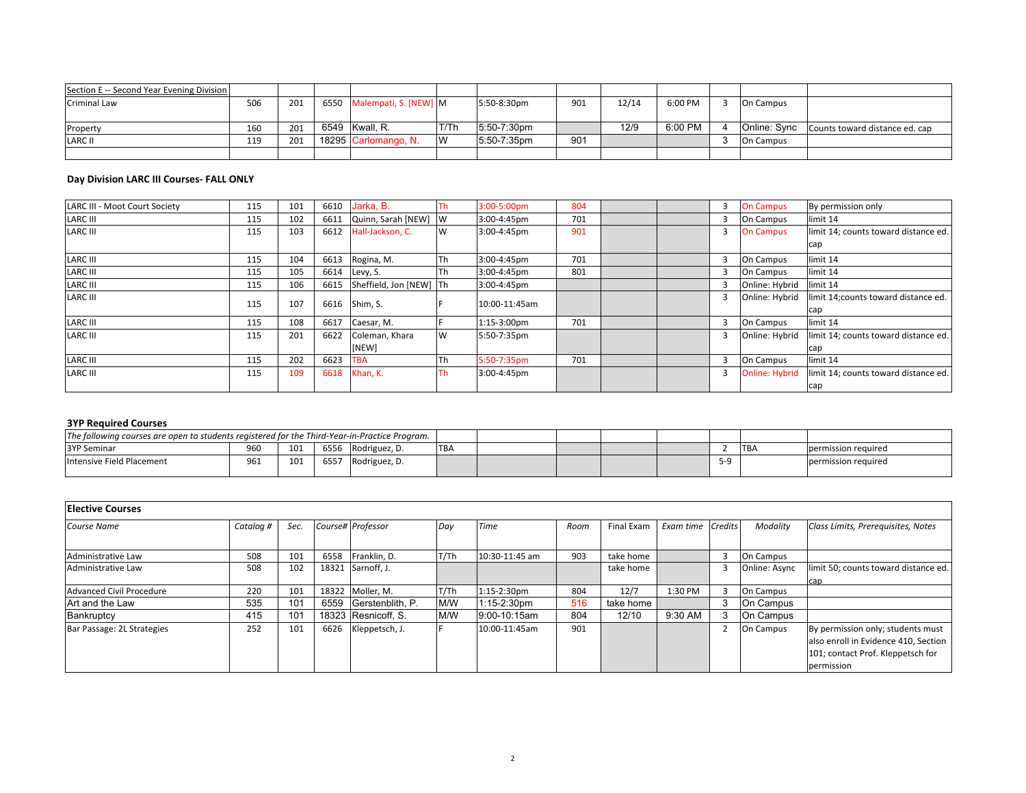| Section E -- Second Year Evening Division |     |     |                            |      |             |     |       |         |           |                                             |
|-------------------------------------------|-----|-----|----------------------------|------|-------------|-----|-------|---------|-----------|---------------------------------------------|
| Criminal Law                              | 506 | 201 | 6550 Malempati, S. [NEW] M |      | 5:50-8:30pm | 901 | 12/14 | 6:00 PM | On Campus |                                             |
|                                           |     |     |                            |      |             |     |       |         |           |                                             |
| Property                                  | 160 | 201 | 6549 Kwall, R.             | T/Th | 5:50-7:30pm |     | 12/9  | 6:00 PM |           | Online: Sync Counts toward distance ed. cap |
| <b>LARC II</b>                            | 119 | 201 | 18295 Carlomango, N.       | IW   | 5:50-7:35pm | 901 |       |         | On Campus |                                             |
|                                           |     |     |                            |      |             |     |       |         |           |                                             |

## **Day Division LARC III Courses‐ FALL ONLY**

| <b>LARC III - Moot Court Society</b> | 115 | 101 | 6610 | Jarka, B.               |          | 3:00-5:00pm   | 804 |  |   | <b>On Campus</b>      | By permission only                   |
|--------------------------------------|-----|-----|------|-------------------------|----------|---------------|-----|--|---|-----------------------|--------------------------------------|
| <b>LARC III</b>                      | 115 | 102 | 6611 | Quinn, Sarah [NEW]      | <b>W</b> | 3:00-4:45pm   | 701 |  |   | <b>On Campus</b>      | limit 14                             |
| <b>LARC III</b>                      | 115 | 103 | 6612 | Hall-Jackson, C.        | <b>W</b> | 3:00-4:45pm   | 901 |  |   | <b>On Campus</b>      | limit 14; counts toward distance ed. |
|                                      |     |     |      |                         |          |               |     |  |   |                       | cap                                  |
| <b>LARC III</b>                      | 115 | 104 | 6613 | Rogina, M.              | lTh      | 3:00-4:45pm   | 701 |  | 3 | On Campus             | limit 14                             |
| <b>LARC III</b>                      | 115 | 105 | 6614 | Levy, S.                | lTh      | 3:00-4:45pm   | 801 |  |   | On Campus             | limit 14                             |
| <b>LARC III</b>                      | 115 | 106 | 6615 | Sheffield, Jon [NEW] Th |          | 3:00-4:45pm   |     |  |   | Online: Hybrid        | limit 14                             |
| <b>LARC III</b>                      | 115 | 107 |      | 6616 Shim, S.           |          | 10:00-11:45am |     |  |   | Online: Hybrid        | limit 14; counts toward distance ed. |
|                                      |     |     |      |                         |          |               |     |  |   |                       | cap                                  |
| <b>LARC III</b>                      | 115 | 108 | 6617 | Caesar, M.              |          | 1:15-3:00pm   | 701 |  |   | On Campus             | limit 14                             |
| LARC III                             | 115 | 201 | 6622 | Coleman, Khara          | <b>W</b> | 5:50-7:35pm   |     |  |   | Online: Hybrid        | limit 14; counts toward distance ed. |
|                                      |     |     |      | [NEW]                   |          |               |     |  |   |                       | cap                                  |
| <b>LARC III</b>                      | 115 | 202 | 6623 | <b>TBA</b>              | lTh      | 5:50-7:35pm   | 701 |  |   | On Campus             | limit 14                             |
| <b>LARC III</b>                      | 115 | 109 | 6618 | Khan, K.                | Th       | 3:00-4:45pm   |     |  | 3 | <b>Online: Hybrid</b> | limit 14; counts toward distance ed. |
|                                      |     |     |      |                         |          |               |     |  |   |                       | cap                                  |

#### **3YP Required Courses**

|                           | The following courses are open to students registered for the Third-Year-in-Practice Program. |     |      |               |            |  |  |  |            |                     |
|---------------------------|-----------------------------------------------------------------------------------------------|-----|------|---------------|------------|--|--|--|------------|---------------------|
| <b>3YP Seminar</b>        | 960                                                                                           | 101 | 6556 | Rodriguez, D. | <b>TBA</b> |  |  |  | <b>TBA</b> | Dermission required |
| Intensive Field Placement | 961                                                                                           | 101 | 6557 | Rodriguez, D. |            |  |  |  |            | permission required |

| <b>Elective Courses</b>    |           |                 |      |                     |      |                  |      |            |                   |               |                                      |
|----------------------------|-----------|-----------------|------|---------------------|------|------------------|------|------------|-------------------|---------------|--------------------------------------|
| Course Name                | Catalog # | Sec.            |      | Course# Professor   | Day  | Time             | Room | Final Exam | Exam time Credits | Modality      | Class Limits, Prerequisites, Notes   |
|                            |           |                 |      |                     |      |                  |      |            |                   |               |                                      |
| Administrative Law         | 508       | 101             | 6558 | Franklin, D.        | T/Th | 10:30-11:45 am   | 903  | take home  |                   | On Campus     |                                      |
| Administrative Law         | 508       | 102             |      | 18321 Sarnoff, J.   |      |                  |      | take home  |                   | Online: Async | limit 50; counts toward distance ed. |
|                            |           |                 |      |                     |      |                  |      |            |                   |               | cap                                  |
| Advanced Civil Procedure   | 220       | 101             |      | 18322 Moller, M.    | T/Th | 1:15-2:30pm      | 804  | 12/7       | 1:30 PM           | On Campus     |                                      |
| Art and the Law            | 535       | 10 <sup>1</sup> | 6559 | Gerstenblith, P.    | M/W  | $1:15 - 2:30$ pm | 516  | take home  |                   | On Campus     |                                      |
| Bankruptcy                 | 415       | 10 <sup>1</sup> |      | 18323 Resnicoff, S. | M/W  | 9:00-10:15am     | 804  | 12/10      | 9:30 AM           | On Campus     |                                      |
| Bar Passage: 2L Strategies | 252       | 101             | 6626 | Kleppetsch, J.      |      | 10:00-11:45am    | 901  |            |                   | On Campus     | By permission only; students must    |
|                            |           |                 |      |                     |      |                  |      |            |                   |               | also enroll in Evidence 410, Section |
|                            |           |                 |      |                     |      |                  |      |            |                   |               | 101; contact Prof. Kleppetsch for    |
|                            |           |                 |      |                     |      |                  |      |            |                   |               | permission                           |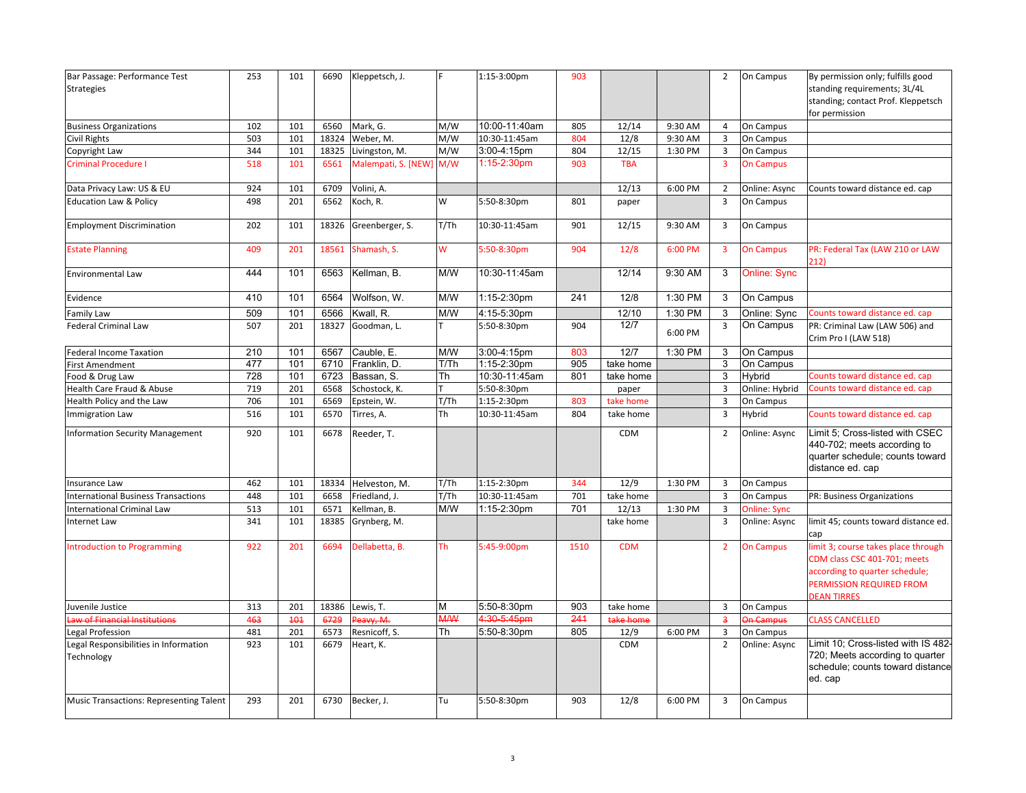| Bar Passage: Performance Test                  | 253 | 101 | 6690  | Kleppetsch, J.      |            | 1:15-3:00pm   | 903  |            |         | $\overline{2}$ | On Campus           | By permission only; fulfills good                      |
|------------------------------------------------|-----|-----|-------|---------------------|------------|---------------|------|------------|---------|----------------|---------------------|--------------------------------------------------------|
| <b>Strategies</b>                              |     |     |       |                     |            |               |      |            |         |                |                     | standing requirements; 3L/4L                           |
|                                                |     |     |       |                     |            |               |      |            |         |                |                     | standing; contact Prof. Kleppetsch                     |
|                                                |     |     |       |                     |            |               |      |            |         |                |                     | for permission                                         |
| <b>Business Organizations</b>                  | 102 | 101 | 6560  | Mark, G.            | M/W        | 10:00-11:40am | 805  | 12/14      | 9:30 AM | 4              | On Campus           |                                                        |
| Civil Rights                                   | 503 | 101 | 18324 | Weber, M.           | M/W        | 10:30-11:45am | 804  | 12/8       | 9:30 AM | 3              | On Campus           |                                                        |
| Copyright Law                                  | 344 | 101 | 18325 | Livingston, M.      | M/W        | 3:00-4:15pm   | 804  | 12/15      | 1:30 PM | $\overline{3}$ | On Campus           |                                                        |
| Criminal Procedure I                           | 518 | 101 | 6561  | Malempati, S. [NEW] | M/W        | 1:15-2:30pm   | 903  | <b>TBA</b> |         | $\overline{3}$ | <b>On Campus</b>    |                                                        |
| Data Privacy Law: US & EU                      | 924 | 101 | 6709  | Volini, A.          |            |               |      | 12/13      | 6:00 PM | $\overline{2}$ | Online: Async       | Counts toward distance ed. cap                         |
| <b>Education Law &amp; Policy</b>              | 498 | 201 | 6562  | Koch, R.            | W          | 5:50-8:30pm   | 801  | paper      |         | $\overline{3}$ | On Campus           |                                                        |
| <b>Employment Discrimination</b>               | 202 | 101 | 18326 | Greenberger, S.     | T/Th       | 10:30-11:45am | 901  | 12/15      | 9:30 AM | 3              | On Campus           |                                                        |
| <b>Estate Planning</b>                         | 409 | 201 | 18561 | Shamash, S.         | W          | 5:50-8:30pm   | 904  | 12/8       | 6:00 PM | 3              | <b>On Campus</b>    | PR: Federal Tax (LAW 210 or LAW<br>212)                |
| Environmental Law                              | 444 | 101 | 6563  | Kellman, B.         | M/W        | 10:30-11:45am |      | 12/14      | 9:30 AM | 3              | Online: Sync        |                                                        |
| Evidence                                       | 410 | 101 | 6564  | Wolfson, W.         | M/W        | 1:15-2:30pm   | 241  | 12/8       | 1:30 PM | 3              | On Campus           |                                                        |
| <b>Family Law</b>                              | 509 | 101 | 6566  | Kwall, R.           | M/W        | 4:15-5:30pm   |      | 12/10      | 1:30 PM | 3              | Online: Sync        | Counts toward distance ed. cap                         |
| <b>Federal Criminal Law</b>                    | 507 | 201 | 18327 | Goodman, L.         |            | 5:50-8:30pm   | 904  | 12/7       | 6:00 PM | 3              | On Campus           | PR: Criminal Law (LAW 506) and<br>Crim Pro I (LAW 518) |
| ederal Income Taxation                         | 210 | 101 | 6567  | Cauble, E.          | M/W        | 3:00-4:15pm   | 803  | 12/7       | 1:30 PM | 3              | On Campus           |                                                        |
| First Amendment                                | 477 | 101 | 6710  | Franklin, D.        | T/Th       | 1:15-2:30pm   | 905  | take home  |         | 3              | On Campus           |                                                        |
| ood & Drug Law                                 | 728 | 101 | 6723  | Bassan, S.          | Th         | 10:30-11:45am | 801  | take home  |         | 3              | Hybrid              | Counts toward distance ed. cap                         |
| Health Care Fraud & Abuse                      | 719 | 201 | 6568  | Schostock, K.       |            | 5:50-8:30pm   |      | paper      |         | 3              | Online: Hybrid      | Counts toward distance ed. cap                         |
| Health Policy and the Law                      | 706 | 101 | 6569  | Epstein, W.         | T/Th       | 1:15-2:30pm   | 803  | take home  |         | 3              | On Campus           |                                                        |
| mmigration Law                                 | 516 | 101 | 6570  | Tirres, A.          | Th         | 10:30-11:45am | 804  | take home  |         | $\overline{3}$ | Hybrid              | Counts toward distance ed. cap                         |
| nformation Security Management                 | 920 | 101 | 6678  | Reeder, T.          |            |               |      | <b>CDM</b> |         | $\overline{2}$ | Online: Async       | Limit 5: Cross-listed with CSEC                        |
|                                                |     |     |       |                     |            |               |      |            |         |                |                     | 440-702; meets according to                            |
|                                                |     |     |       |                     |            |               |      |            |         |                |                     | quarter schedule; counts toward                        |
|                                                |     |     |       |                     |            |               |      |            |         |                |                     | distance ed. cap                                       |
| nsurance Law                                   | 462 | 101 | 18334 | Helveston, M.       | T/Th       | 1:15-2:30pm   | 344  | 12/9       | 1:30 PM | 3              | On Campus           |                                                        |
| nternational Business Transactions             | 448 | 101 | 6658  | Friedland, J.       | T/Th       | 10:30-11:45am | 701  | take home  |         | $\overline{3}$ | On Campus           | PR: Business Organizations                             |
| nternational Criminal Law                      | 513 | 101 | 6571  | Kellman, B.         | M/W        | 1:15-2:30pm   | 701  | 12/13      | 1:30 PM | $\overline{3}$ | <b>Online: Sync</b> |                                                        |
| nternet Law                                    | 341 | 101 | 18385 | Grynberg, M.        |            |               |      | take home  |         | 3              | Online: Async       | limit 45; counts toward distance ed.                   |
|                                                |     |     |       |                     |            |               |      |            |         |                |                     | cap                                                    |
| ntroduction to Programming                     | 922 | 201 | 6694  | Dellabetta, B.      | Th         | 5:45-9:00pm   | 1510 | <b>CDM</b> |         | $\overline{2}$ | <b>On Campus</b>    | limit 3; course takes place through                    |
|                                                |     |     |       |                     |            |               |      |            |         |                |                     | CDM class CSC 401-701; meets                           |
|                                                |     |     |       |                     |            |               |      |            |         |                |                     | according to quarter schedule;                         |
|                                                |     |     |       |                     |            |               |      |            |         |                |                     | PERMISSION REQUIRED FROM<br><b>DEAN TIRRES</b>         |
| Juvenile Justice                               | 313 | 201 |       | 18386 Lewis, T.     | М          | 5:50-8:30pm   | 903  | take home  |         | 3              | On Campus           |                                                        |
| aw of Financial Institutions                   | 463 | 404 | 6729  | Peavy, M.           | <b>M/W</b> | 4:30-5:45pm   | 241  | take home  |         | $\overline{3}$ | <b>Jn Campus</b>    | <b>CLASS CANCELLED</b>                                 |
| egal Profession                                | 481 | 201 | 6573  | Resnicoff, S.       | Th         | 5:50-8:30pm   | 805  | 12/9       | 6:00 PM | $\overline{3}$ | On Campus           |                                                        |
| egal Responsibilities in Information           | 923 | 101 | 6679  | Heart, K.           |            |               |      | CDM        |         | $\overline{2}$ | Online: Async       | Limit 10; Cross-listed with IS 482-                    |
| Technology                                     |     |     |       |                     |            |               |      |            |         |                |                     | 720; Meets according to quarter                        |
|                                                |     |     |       |                     |            |               |      |            |         |                |                     | schedule; counts toward distance                       |
|                                                |     |     |       |                     |            |               |      |            |         |                |                     | ed. cap                                                |
| <b>Music Transactions: Representing Talent</b> | 293 | 201 | 6730  | Becker, J.          | Tu         | 5:50-8:30pm   | 903  | 12/8       | 6:00 PM | 3              | On Campus           |                                                        |
|                                                |     |     |       |                     |            |               |      |            |         |                |                     |                                                        |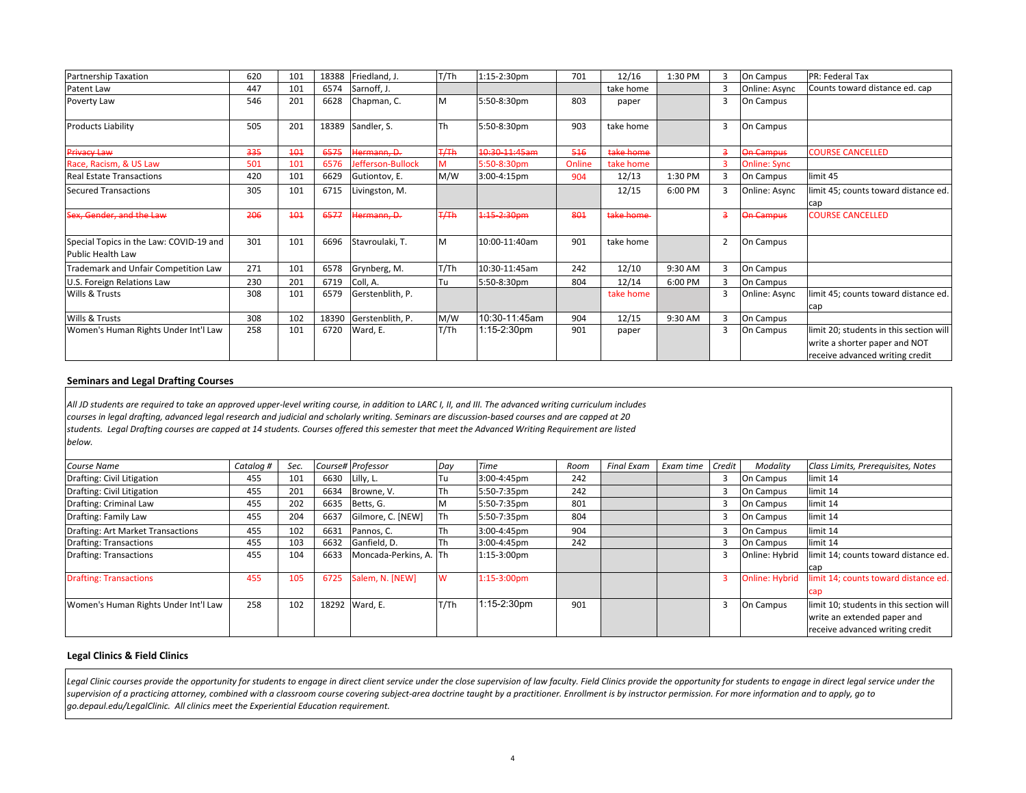| Partnership Taxation                                                | 620 | 101 | 18388 | Friedland, J.     | T/Th      | 1:15-2:30pm   | 701    | 12/16     | 1:30 PM |   | On Campus           | PR: Federal Tax                                                                                             |
|---------------------------------------------------------------------|-----|-----|-------|-------------------|-----------|---------------|--------|-----------|---------|---|---------------------|-------------------------------------------------------------------------------------------------------------|
| Patent Law                                                          | 447 | 101 | 6574  | Sarnoff, J.       |           |               |        | take home |         |   | Online: Async       | Counts toward distance ed. cap                                                                              |
| Poverty Law                                                         | 546 | 201 | 6628  | Chapman, C.       | M         | 5:50-8:30pm   | 803    | paper     |         | 3 | On Campus           |                                                                                                             |
| Products Liability                                                  | 505 | 201 | 18389 | Sandler, S.       | <b>Th</b> | 5:50-8:30pm   | 903    | take home |         | 3 | On Campus           |                                                                                                             |
| Privacy Law                                                         | 335 | 404 | 6575  | Hermann, D.       | 7/Th      | 10:30-11:45am | 546    | take home |         |   | <b>On Campus</b>    | <b>COURSE CANCELLED</b>                                                                                     |
| Race, Racism, & US Law                                              | 501 | 101 | 6576  | Jefferson-Bullock | M         | 5:50-8:30pm   | Online | take home |         |   | <b>Online: Sync</b> |                                                                                                             |
| <b>Real Estate Transactions</b>                                     | 420 | 101 | 6629  | Gutiontov, E.     | M/W       | 3:00-4:15pm   | 904    | 12/13     | 1:30 PM | 3 | On Campus           | limit 45                                                                                                    |
| <b>Secured Transactions</b>                                         | 305 | 101 | 6715  | Livingston, M.    |           |               |        | 12/15     | 6:00 PM |   | Online: Async       | limit 45; counts toward distance ed.<br>cap                                                                 |
| Sex, Gender, and the Law                                            | 206 | 404 | 6577  | Hermann, D.       | H         | 1:15 2:30pm   | 801    | take home |         |   | On Campus           | <b>COURSE CANCELLED</b>                                                                                     |
| Special Topics in the Law: COVID-19 and<br><b>Public Health Law</b> | 301 | 101 | 6696  | Stavroulaki, T.   | M         | 10:00-11:40am | 901    | take home |         |   | On Campus           |                                                                                                             |
| Trademark and Unfair Competition Law                                | 271 | 101 | 6578  | Grynberg, M.      | T/Th      | 10:30-11:45am | 242    | 12/10     | 9:30 AM | 3 | On Campus           |                                                                                                             |
| U.S. Foreign Relations Law                                          | 230 | 201 | 6719  | Coll, A.          | Tu        | 5:50-8:30pm   | 804    | 12/14     | 6:00 PM | Е | On Campus           |                                                                                                             |
| Wills & Trusts                                                      | 308 | 101 | 6579  | Gerstenblith, P.  |           |               |        | take home |         |   | Online: Async       | limit 45; counts toward distance ed.<br>cap                                                                 |
| Wills & Trusts                                                      | 308 | 102 | 18390 | Gerstenblith, P.  | M/W       | 10:30-11:45am | 904    | 12/15     | 9:30 AM |   | On Campus           |                                                                                                             |
| Women's Human Rights Under Int'l Law                                | 258 | 101 | 6720  | Ward, E.          | T/Th      | 1:15-2:30pm   | 901    | paper     |         | 3 | On Campus           | limit 20; students in this section will<br>write a shorter paper and NOT<br>receive advanced writing credit |

#### **Seminars and Legal Drafting Courses**

All JD students are required to take an approved upper-level writing course, in addition to LARC I, II, and III. The advanced writing curriculum includes courses in legal drafting, advanced legal research and judicial and scholarly writing. Seminars are discussion-based courses and are capped at 20 students. Legal Drafting courses are capped at 14 students. Courses offered this semester that meet the Advanced Writing Requirement are listed *below.*

| <b>Course Name</b>                   | Catalog # | Sec. |      | Course# Professor      | Day        | <b>Time</b>           | Room | Final Exam | Exam time | Credit | Modality              | Class Limits, Prerequisites, Notes      |
|--------------------------------------|-----------|------|------|------------------------|------------|-----------------------|------|------------|-----------|--------|-----------------------|-----------------------------------------|
| Drafting: Civil Litigation           | 455       | 101  | 6630 | Lilly, L.              | Tu         | 3:00-4:45pm           | 242  |            |           |        | On Campus             | limit 14                                |
| Drafting: Civil Litigation           | 455       | 201  | 6634 | Browne, V.             | Th         | 5:50-7:35pm           | 242  |            |           |        | On Campus             | limit 14                                |
| Drafting: Criminal Law               | 455       | 202  | 6635 | Betts, G.              |            | 5:50-7:35pm           | 801  |            |           |        | On Campus             | limit 14                                |
| Drafting: Family Law                 | 455       | 204  | 663  | Gilmore, C. [NEW]      | <b>ITh</b> | 5:50-7:35pm           | 804  |            |           |        | On Campus             | limit 14                                |
| Drafting: Art Market Transactions    | 455       | 102  | 6631 | Pannos, C.             | Th         | 3:00-4:45pm           | 904  |            |           |        | On Campus             | limit 14                                |
| <b>Drafting: Transactions</b>        | 455       | 103  | 6632 | Ganfield, D.           | Th         | 3:00-4:45pm           | 242  |            |           |        | On Campus             | limit 14                                |
| Drafting: Transactions               | 455       | 104  | 6633 | Moncada-Perkins, A. Th |            | 1:15-3:00pm           |      |            |           |        | Online: Hybrid        | limit 14; counts toward distance ed.    |
|                                      |           |      |      |                        |            |                       |      |            |           |        |                       | cap                                     |
| <b>Drafting: Transactions</b>        | 455       | 105  | 6725 | Salem, N. [NEW]        | W          | $1:15-3:00 \text{pm}$ |      |            |           |        | <b>Online: Hybrid</b> | limit 14; counts toward distance ed.    |
|                                      |           |      |      |                        |            |                       |      |            |           |        |                       | cap                                     |
| Women's Human Rights Under Int'l Law | 258       | 102  |      | 18292 Ward, E.         | T/Th       | 1:15-2:30pm           | 901  |            |           |        | On Campus             | limit 10; students in this section will |
|                                      |           |      |      |                        |            |                       |      |            |           |        |                       | write an extended paper and             |
|                                      |           |      |      |                        |            |                       |      |            |           |        |                       | receive advanced writing credit         |

## **Legal Clinics & Field Clinics**

Legal Clinic courses provide the opportunity for students to engage in direct client service under the close supervision of law faculty. Field Clinics provide the opportunity for students to engage in direct legal service supervision of a practicing attorney, combined with a classroom course covering subject-area doctrine taught by a practitioner. Enrollment is by instructor permission. For more information and to apply, go to *go.depaul.edu/LegalClinic. All clinics meet the Experiential Education requirement.*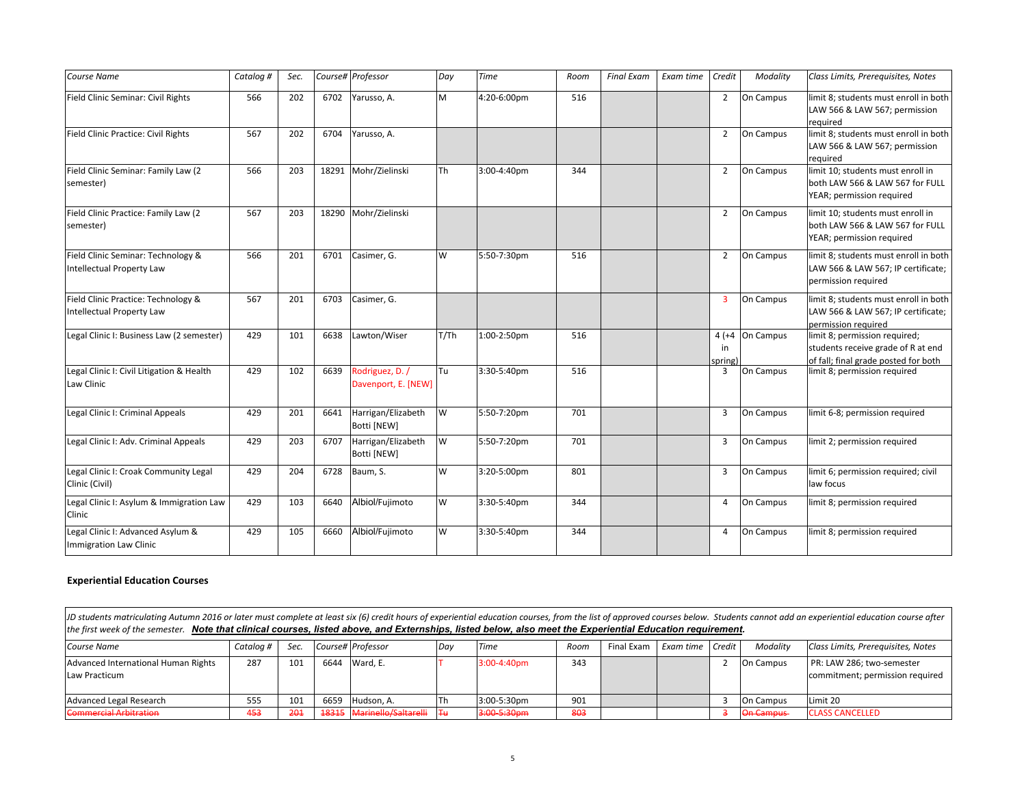| Course Name                                                             | Catalog # | Sec. |       | Course# Professor                      | Day       | <b>Time</b> | Room | <b>Final Exam</b> | Exam time | Credit                  | Modality  | Class Limits, Prerequisites, Notes                                                                          |
|-------------------------------------------------------------------------|-----------|------|-------|----------------------------------------|-----------|-------------|------|-------------------|-----------|-------------------------|-----------|-------------------------------------------------------------------------------------------------------------|
| Field Clinic Seminar: Civil Rights                                      | 566       | 202  | 6702  | Yarusso, A.                            | M         | 4:20-6:00pm | 516  |                   |           | 2                       | On Campus | limit 8; students must enroll in both<br>LAW 566 & LAW 567; permission<br>required                          |
| Field Clinic Practice: Civil Rights                                     | 567       | 202  | 6704  | Yarusso, A.                            |           |             |      |                   |           | $\overline{2}$          | On Campus | limit 8; students must enroll in both<br>LAW 566 & LAW 567; permission<br>required                          |
| Field Clinic Seminar: Family Law (2<br>semester)                        | 566       | 203  | 18291 | Mohr/Zielinski                         | <b>Th</b> | 3:00-4:40pm | 344  |                   |           | $\overline{2}$          | On Campus | limit 10; students must enroll in<br>both LAW 566 & LAW 567 for FULL<br>YEAR; permission required           |
| Field Clinic Practice: Family Law (2<br>semester)                       | 567       | 203  | 18290 | Mohr/Zielinski                         |           |             |      |                   |           | $\overline{2}$          | On Campus | limit 10; students must enroll in<br>both LAW 566 & LAW 567 for FULL<br>YEAR; permission required           |
| Field Clinic Seminar: Technology &<br><b>Intellectual Property Law</b>  | 566       | 201  | 6701  | Casimer, G.                            | <b>W</b>  | 5:50-7:30pm | 516  |                   |           | 2                       | On Campus | limit 8; students must enroll in both<br>LAW 566 & LAW 567; IP certificate;<br>permission required          |
| Field Clinic Practice: Technology &<br><b>Intellectual Property Law</b> | 567       | 201  | 6703  | Casimer, G.                            |           |             |      |                   |           | 3                       | On Campus | limit 8; students must enroll in both<br>LAW 566 & LAW 567; IP certificate;<br>permission required          |
| Legal Clinic I: Business Law (2 semester)                               | 429       | 101  | 6638  | Lawton/Wiser                           | T/Th      | 1:00-2:50pm | 516  |                   |           | $4(+4)$<br>in<br>spring | On Campus | limit 8; permission required;<br>students receive grade of R at end<br>of fall; final grade posted for both |
| Legal Clinic I: Civil Litigation & Health<br>Law Clinic                 | 429       | 102  | 6639  | Rodriguez, D. /<br>Davenport, E. [NEW] | lTu.      | 3:30-5:40pm | 516  |                   |           | 3                       | On Campus | limit 8; permission required                                                                                |
| Legal Clinic I: Criminal Appeals                                        | 429       | 201  | 6641  | Harrigan/Elizabeth<br>Botti [NEW]      | W         | 5:50-7:20pm | 701  |                   |           | 3                       | On Campus | limit 6-8; permission required                                                                              |
| Legal Clinic I: Adv. Criminal Appeals                                   | 429       | 203  | 6707  | Harrigan/Elizabeth<br>Botti [NEW]      | W         | 5:50-7:20pm | 701  |                   |           | 3                       | On Campus | limit 2; permission required                                                                                |
| Legal Clinic I: Croak Community Legal<br>Clinic (Civil)                 | 429       | 204  | 6728  | Baum, S.                               | W         | 3:20-5:00pm | 801  |                   |           | 3                       | On Campus | limit 6; permission required; civil<br>law focus                                                            |
| Legal Clinic I: Asylum & Immigration Law<br>Clinic                      | 429       | 103  | 6640  | Albiol/Fujimoto                        | <b>W</b>  | 3:30-5:40pm | 344  |                   |           | 4                       | On Campus | limit 8; permission required                                                                                |
| Legal Clinic I: Advanced Asylum &<br><b>Immigration Law Clinic</b>      | 429       | 105  | 6660  | Albiol/Fujimoto                        | W         | 3:30-5:40pm | 344  |                   |           | 4                       | On Campus | limit 8; permission required                                                                                |

## **Experiential Education Courses**

*Course*Catalog # Sec. Course# Professor | Day | Time | Room | Final Exam | Exam time | Credit | Modality | Class Limits, Prerequisites, Notes Advanced International Human Rights Law Practicum287 101 6644 Ward, E. T 3:00‐4:40pm 343 2 On Campus PR: LAW 286; two‐semester commitment; permission required **Advanced Legal Research**  Legal Research 555 101 6659 Hudson, A. Th 3:00‐5:30pm 901 3 On Campus Limit 20 Commercial Arbitration 453 201 18315 Marinello/Saltarelli Tu 3:00‐5:30pm 803 3 On Campus CLASS CANCELLED JD students matriculating Autumn 2016 or later must complete at least six (6) credit hours of experiential education courses, from the list of approved courses below. Students cannot add an experiential education course a *the first week of the semester. Note that clinical courses, listed above, and Externships, listed below, also meet the Experiential Education requirement.*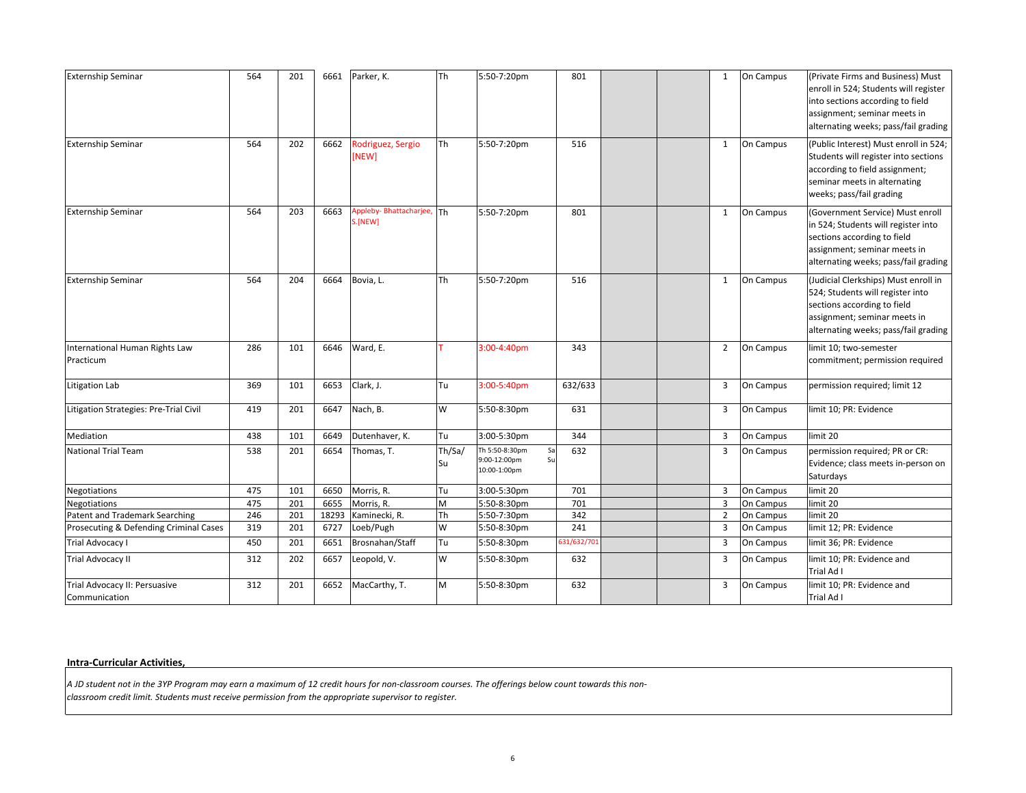| <b>Externship Seminar</b>                      | 564 | 201 | 6661  | Parker, K.                           | Th           | 5:50-7:20pm                                                | 801         |  | 1              | On Campus | (Private Firms and Business) Must<br>enroll in 524; Students will register<br>into sections according to field<br>assignment; seminar meets in<br>alternating weeks; pass/fail grading |
|------------------------------------------------|-----|-----|-------|--------------------------------------|--------------|------------------------------------------------------------|-------------|--|----------------|-----------|----------------------------------------------------------------------------------------------------------------------------------------------------------------------------------------|
| <b>Externship Seminar</b>                      | 564 | 202 | 6662  | Rodriguez, Sergio<br>[NEW]           | Th           | 5:50-7:20pm                                                | 516         |  | 1              | On Campus | (Public Interest) Must enroll in 524;<br>Students will register into sections<br>according to field assignment;<br>seminar meets in alternating<br>weeks; pass/fail grading            |
| <b>Externship Seminar</b>                      | 564 | 203 | 6663  | Appleby-Bhattacharjee, Th<br>S.[NEW] |              | 5:50-7:20pm                                                | 801         |  | $\mathbf{1}$   | On Campus | (Government Service) Must enroll<br>in 524; Students will register into<br>sections according to field<br>assignment; seminar meets in<br>alternating weeks; pass/fail grading         |
| <b>Externship Seminar</b>                      | 564 | 204 | 6664  | Bovia, L.                            | Th           | 5:50-7:20pm                                                | 516         |  | $\mathbf{1}$   | On Campus | (Judicial Clerkships) Must enroll in<br>524; Students will register into<br>sections according to field<br>assignment; seminar meets in<br>alternating weeks; pass/fail grading        |
| International Human Rights Law<br>Practicum    | 286 | 101 | 6646  | Ward, E.                             |              | 3:00-4:40pm                                                | 343         |  | 2              | On Campus | limit 10; two-semester<br>commitment; permission required                                                                                                                              |
| Litigation Lab                                 | 369 | 101 | 6653  | Clark, J.                            | Tu           | 3:00-5:40pm                                                | 632/633     |  | $\overline{3}$ | On Campus | permission required; limit 12                                                                                                                                                          |
| Litigation Strategies: Pre-Trial Civil         | 419 | 201 | 6647  | Nach, B.                             | W            | 5:50-8:30pm                                                | 631         |  | 3              | On Campus | limit 10; PR: Evidence                                                                                                                                                                 |
| Mediation                                      | 438 | 101 | 6649  | Dutenhaver, K.                       | Tu           | 3:00-5:30pm                                                | 344         |  | 3              | On Campus | limit 20                                                                                                                                                                               |
| <b>National Trial Team</b>                     | 538 | 201 | 6654  | Thomas, T.                           | Th/Sa/<br>Su | Th 5:50-8:30pm<br>Sa<br>Su<br>9:00-12:00pm<br>10:00-1:00pm | 632         |  | $\overline{3}$ | On Campus | permission required; PR or CR:<br>Evidence; class meets in-person on<br>Saturdays                                                                                                      |
| Negotiations                                   | 475 | 101 | 6650  | Morris, R.                           | Tu           | 3:00-5:30pm                                                | 701         |  | 3              | On Campus | limit 20                                                                                                                                                                               |
| Negotiations                                   | 475 | 201 | 6655  | Morris, R.                           | M            | 5:50-8:30pm                                                | 701         |  | $\overline{3}$ | On Campus | limit 20                                                                                                                                                                               |
| Patent and Trademark Searching                 | 246 | 201 | 18293 | Kaminecki, R.                        | Th           | 5:50-7:30pm                                                | 342         |  | $\overline{2}$ | On Campus | limit 20                                                                                                                                                                               |
| Prosecuting & Defending Criminal Cases         | 319 | 201 | 6727  | Loeb/Pugh                            | W            | 5:50-8:30pm                                                | 241         |  | 3              | On Campus | limit 12; PR: Evidence                                                                                                                                                                 |
| <b>Trial Advocacy I</b>                        | 450 | 201 | 6651  | Brosnahan/Staff                      | Tu           | 5:50-8:30pm                                                | 531/632/701 |  | $\overline{3}$ | On Campus | limit 36; PR: Evidence                                                                                                                                                                 |
| <b>Trial Advocacy II</b>                       | 312 | 202 | 6657  | Leopold, V.                          | W            | 5:50-8:30pm                                                | 632         |  | $\overline{3}$ | On Campus | limit 10; PR: Evidence and<br>Trial Ad I                                                                                                                                               |
| Trial Advocacy II: Persuasive<br>Communication | 312 | 201 | 6652  | MacCarthy, T.                        | M            | 5:50-8:30pm                                                | 632         |  | 3              | On Campus | limit 10; PR: Evidence and<br>Trial Ad I                                                                                                                                               |

#### **Intra‐Curricular Activities,**

A JD student not in the 3YP Program may earn a maximum of 12 credit hours for non-classroom courses. The offerings below count towards this non*classroom credit limit. Students must receive permission from the appropriate supervisor to register.*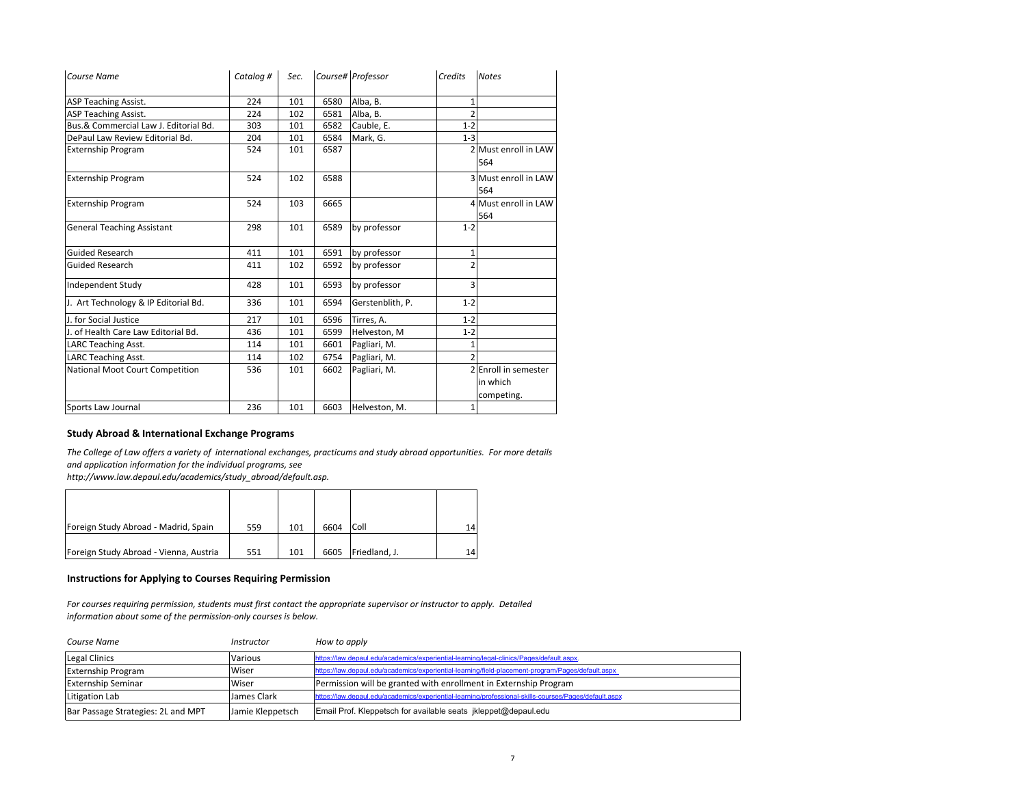| <b>Course Name</b>                    | Catalog # | Sec. |      | Course# Professor | Credits        | <b>Notes</b>                                   |
|---------------------------------------|-----------|------|------|-------------------|----------------|------------------------------------------------|
| <b>ASP Teaching Assist.</b>           | 224       | 101  | 6580 | Alba, B.          |                |                                                |
| <b>ASP Teaching Assist.</b>           | 224       | 102  | 6581 | Alba, B.          | $\mathfrak{p}$ |                                                |
| Bus.& Commercial Law J. Editorial Bd. | 303       | 101  | 6582 | Cauble, E.        | $1 - 2$        |                                                |
| DePaul Law Review Editorial Bd.       | 204       | 101  | 6584 | Mark, G.          | $1 - 3$        |                                                |
| <b>Externship Program</b>             | 524       | 101  | 6587 |                   |                | 2 Must enroll in LAW<br>564                    |
| <b>Externship Program</b>             | 524       | 102  | 6588 |                   |                | 3 Must enroll in LAW<br>564                    |
| <b>Externship Program</b>             | 524       | 103  | 6665 |                   |                | 4 Must enroll in LAW<br>564                    |
| <b>General Teaching Assistant</b>     | 298       | 101  | 6589 | by professor      | $1 - 2$        |                                                |
| <b>Guided Research</b>                | 411       | 101  | 6591 | by professor      | 1              |                                                |
| <b>Guided Research</b>                | 411       | 102  | 6592 | by professor      | $\mathfrak z$  |                                                |
| Independent Study                     | 428       | 101  | 6593 | by professor      | 3              |                                                |
| J. Art Technology & IP Editorial Bd.  | 336       | 101  | 6594 | Gerstenblith, P.  | $1 - 2$        |                                                |
| J. for Social Justice                 | 217       | 101  | 6596 | Tirres, A.        | $1 - 2$        |                                                |
| J. of Health Care Law Editorial Bd.   | 436       | 101  | 6599 | Helveston, M      | $1 - 2$        |                                                |
| <b>LARC Teaching Asst.</b>            | 114       | 101  | 6601 | Pagliari, M.      |                |                                                |
| <b>LARC Teaching Asst.</b>            | 114       | 102  | 6754 | Pagliari, M.      | 2              |                                                |
| National Moot Court Competition       | 536       | 101  | 6602 | Pagliari, M.      |                | 2 Enroll in semester<br>in which<br>competing. |
| Sports Law Journal                    | 236       | 101  | 6603 | Helveston, M.     | $1\vert$       |                                                |

### **Study Abroad & International Exchange Programs**

The College of Law offers a variety of international exchanges, practicums and study abroad opportunities. For more details *and application information for the individual programs, see*

*http://www.law.depaul.edu/academics/study\_abroad/default.asp.*

| Foreign Study Abroad - Madrid, Spain   | 559 | 101 | 6604 | Coll          |  |
|----------------------------------------|-----|-----|------|---------------|--|
| Foreign Study Abroad - Vienna, Austria | 551 | 101 | 6605 | Friedland, J. |  |

#### **Instructions for Applying to Courses Requiring Permission**

For courses requiring permission, students must first contact the appropriate supervisor or instructor to apply. Detailed *information about some of the permission‐only courses is below.*

| Course Name                        | Instructor       | How to apply                                                                                          |
|------------------------------------|------------------|-------------------------------------------------------------------------------------------------------|
| Legal Clinics                      | Various          | https://law.depaul.edu/academics/experiential-learning/legal-clinics/Pages/default.aspx.              |
| <b>Externship Program</b>          | Wiser            | https://law.depaul.edu/academics/experiential-learning/field-placement-program/Pages/default.aspx     |
| <b>Externship Seminar</b>          | Wiser            | Permission will be granted with enrollment in Externship Program                                      |
| Litigation Lab                     | James Clark      | https://law.depaul.edu/academics/experiential-learning/professional-skills-courses/Pages/default.aspx |
| Bar Passage Strategies: 2L and MPT | Jamie Kleppetsch | Email Prof. Kleppetsch for available seats jkleppet@depaul.edu                                        |